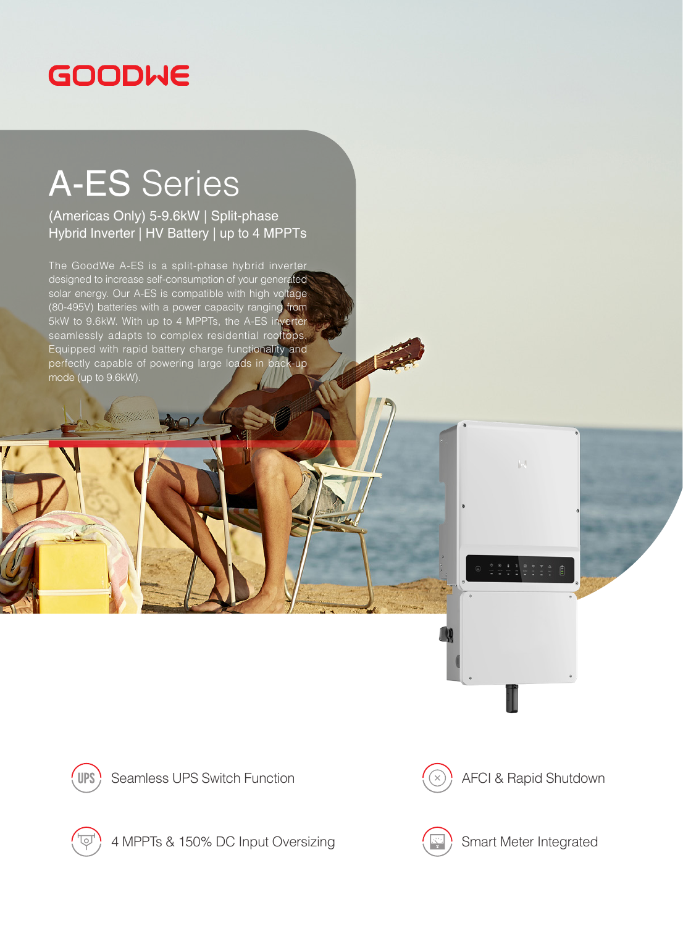## **GOODWE**

## A-ES Series

(Americas Only) 5-9.6kW | Split-phase Hybrid Inverter | HV Battery | up to 4 MPPTs

The GoodWe A-ES is a split-phase hybrid inverter designed to increase self-consumption of your generated solar energy. Our A-ES is compatible with high voltage (80-495V) batteries with a power capacity ranging from 5kW to 9.6kW. With up to 4 MPPTs, the A-ES inverter seamlessly adapts to complex residential rooftops. Equipped with rapid battery charge functionality and perfectly capable of powering large loads in back-up mode (up to 9.6kW).



Seamless UPS Switch Function  $(\bar{x})$  AFCI & Rapid Shutdown

 $\|.\|$ 



4 MPPTs & 150% DC Input Oversizing (Separated Smart Meter Integrated